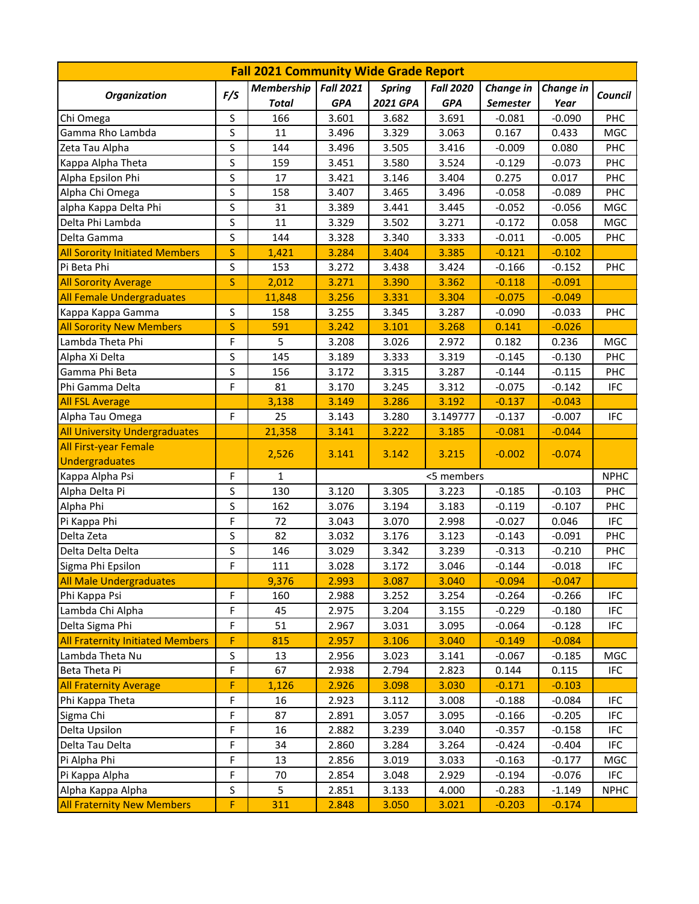| <b>Fall 2021 Community Wide Grade Report</b> |              |                   |                  |               |                  |                 |           |             |  |  |  |
|----------------------------------------------|--------------|-------------------|------------------|---------------|------------------|-----------------|-----------|-------------|--|--|--|
| <b>Organization</b>                          | F/S          | <b>Membership</b> | <b>Fall 2021</b> | <b>Spring</b> | <b>Fall 2020</b> | Change in       | Change in | Council     |  |  |  |
|                                              |              | <b>Total</b>      | <b>GPA</b>       | 2021 GPA      | <b>GPA</b>       | <b>Semester</b> | Year      |             |  |  |  |
| Chi Omega                                    | S            | 166               | 3.601            | 3.682         | 3.691            | $-0.081$        | $-0.090$  | <b>PHC</b>  |  |  |  |
| Gamma Rho Lambda                             | S            | 11                | 3.496            | 3.329         | 3.063            | 0.167           | 0.433     | MGC         |  |  |  |
| Zeta Tau Alpha                               | S            | 144               | 3.496            | 3.505         | 3.416            | $-0.009$        | 0.080     | PHC         |  |  |  |
| Kappa Alpha Theta                            | S            | 159               | 3.451            | 3.580         | 3.524            | $-0.129$        | $-0.073$  | PHC         |  |  |  |
| Alpha Epsilon Phi                            | S            | 17                | 3.421            | 3.146         | 3.404            | 0.275           | 0.017     | PHC         |  |  |  |
| Alpha Chi Omega                              | S            | 158               | 3.407            | 3.465         | 3.496            | $-0.058$        | $-0.089$  | PHC         |  |  |  |
| alpha Kappa Delta Phi                        | S            | 31                | 3.389            | 3.441         | 3.445            | $-0.052$        | $-0.056$  | MGC         |  |  |  |
| Delta Phi Lambda                             | S            | 11                | 3.329            | 3.502         | 3.271            | $-0.172$        | 0.058     | MGC         |  |  |  |
| Delta Gamma                                  | S            | 144               | 3.328            | 3.340         | 3.333            | $-0.011$        | $-0.005$  | PHC         |  |  |  |
| <b>All Sorority Initiated Members</b>        | S            | 1,421             | 3.284            | 3.404         | 3.385            | $-0.121$        | $-0.102$  |             |  |  |  |
| Pi Beta Phi                                  | S            | 153               | 3.272            | 3.438         | 3.424            | $-0.166$        | $-0.152$  | PHC         |  |  |  |
| <b>All Sorority Average</b>                  | $\sf S$      | 2,012             | 3.271            | 3.390         | 3.362            | $-0.118$        | $-0.091$  |             |  |  |  |
| <b>All Female Undergraduates</b>             |              | 11,848            | 3.256            | 3.331         | 3.304            | $-0.075$        | $-0.049$  |             |  |  |  |
| Kappa Kappa Gamma                            | $\sf S$      | 158               | 3.255            | 3.345         | 3.287            | $-0.090$        | $-0.033$  | PHC         |  |  |  |
| <b>All Sorority New Members</b>              | $\mathsf{S}$ | 591               | 3.242            | 3.101         | 3.268            | 0.141           | $-0.026$  |             |  |  |  |
| Lambda Theta Phi                             | F            | 5                 | 3.208            | 3.026         | 2.972            | 0.182           | 0.236     | <b>MGC</b>  |  |  |  |
| Alpha Xi Delta                               | S            | 145               | 3.189            | 3.333         | 3.319            | $-0.145$        | $-0.130$  | <b>PHC</b>  |  |  |  |
| Gamma Phi Beta                               | $\sf S$      | 156               | 3.172            | 3.315         | 3.287            | $-0.144$        | $-0.115$  | <b>PHC</b>  |  |  |  |
| Phi Gamma Delta                              | F            | 81                | 3.170            | 3.245         | 3.312            | $-0.075$        | $-0.142$  | <b>IFC</b>  |  |  |  |
| <b>All FSL Average</b>                       |              | 3,138             | 3.149            | 3.286         | 3.192            | $-0.137$        | $-0.043$  |             |  |  |  |
| Alpha Tau Omega                              | F            | 25                | 3.143            | 3.280         | 3.149777         | $-0.137$        | $-0.007$  | <b>IFC</b>  |  |  |  |
| <b>All University Undergraduates</b>         |              | 21,358            | 3.141            | 3.222         | 3.185            | $-0.081$        | $-0.044$  |             |  |  |  |
| <b>All First-year Female</b>                 |              | 2,526             | 3.141            | 3.142         | 3.215            | $-0.002$        | $-0.074$  |             |  |  |  |
| <b>Undergraduates</b>                        |              |                   |                  |               |                  |                 |           |             |  |  |  |
| Kappa Alpha Psi                              | F            | $\mathbf{1}$      |                  |               | <5 members       |                 |           | <b>NPHC</b> |  |  |  |
| Alpha Delta Pi                               | S            | 130               | 3.120            | 3.305         | 3.223            | $-0.185$        | $-0.103$  | PHC         |  |  |  |
| Alpha Phi                                    | S            | 162               | 3.076            | 3.194         | 3.183            | $-0.119$        | $-0.107$  | PHC         |  |  |  |
| Pi Kappa Phi                                 | F            | 72                | 3.043            | 3.070         | 2.998            | $-0.027$        | 0.046     | <b>IFC</b>  |  |  |  |
| Delta Zeta                                   | $\sf S$      | 82                | 3.032            | 3.176         | 3.123            | $-0.143$        | $-0.091$  | PHC         |  |  |  |
| Delta Delta Delta                            | S            | 146               | 3.029            | 3.342         | 3.239            | $-0.313$        | $-0.210$  | PHC         |  |  |  |
| Sigma Phi Epsilon                            | F            | 111               | 3.028            | 3.172         | 3.046            | $-0.144$        | $-0.018$  | <b>IFC</b>  |  |  |  |
| <b>All Male Undergraduates</b>               |              | 9,376             | 2.993            | 3.087         | 3.040            | $-0.094$        | $-0.047$  |             |  |  |  |
| Phi Kappa Psi                                | F            | 160               | 2.988            | 3.252         | 3.254            | $-0.264$        | $-0.266$  | <b>IFC</b>  |  |  |  |
| Lambda Chi Alpha                             | F            | 45                | 2.975            | 3.204         | 3.155            | $-0.229$        | $-0.180$  | <b>IFC</b>  |  |  |  |
| Delta Sigma Phi                              | F            | 51                | 2.967            | 3.031         | 3.095            | $-0.064$        | $-0.128$  | <b>IFC</b>  |  |  |  |
| <b>All Fraternity Initiated Members</b>      | F            | 815               | 2.957            | 3.106         | 3.040            | $-0.149$        | $-0.084$  |             |  |  |  |
| Lambda Theta Nu                              | S            | 13                | 2.956            | 3.023         | 3.141            | $-0.067$        | $-0.185$  | MGC         |  |  |  |
| Beta Theta Pi                                | F            | 67                | 2.938            | 2.794         | 2.823            | 0.144           | 0.115     | <b>IFC</b>  |  |  |  |
| <b>All Fraternity Average</b>                | F            | 1,126             | 2.926            | 3.098         | 3.030            | $-0.171$        | $-0.103$  |             |  |  |  |
| Phi Kappa Theta                              | F            | 16                | 2.923            | 3.112         | 3.008            | $-0.188$        | $-0.084$  | <b>IFC</b>  |  |  |  |
| Sigma Chi                                    | F            | 87                | 2.891            | 3.057         | 3.095            | $-0.166$        | $-0.205$  | <b>IFC</b>  |  |  |  |
| Delta Upsilon                                | F            | 16                | 2.882            | 3.239         | 3.040            | $-0.357$        | $-0.158$  | <b>IFC</b>  |  |  |  |
| Delta Tau Delta                              | F            | 34                | 2.860            | 3.284         | 3.264            | $-0.424$        | $-0.404$  | <b>IFC</b>  |  |  |  |
| Pi Alpha Phi                                 | F            | 13                | 2.856            | 3.019         | 3.033            | $-0.163$        | $-0.177$  | MGC         |  |  |  |
| Pi Kappa Alpha                               | F            | 70                | 2.854            | 3.048         | 2.929            | $-0.194$        | $-0.076$  | IFC         |  |  |  |
| Alpha Kappa Alpha                            | S            | 5                 | 2.851            | 3.133         | 4.000            | $-0.283$        | $-1.149$  | <b>NPHC</b> |  |  |  |
| <b>All Fraternity New Members</b>            | F            | 311               | 2.848            | 3.050         | 3.021            | $-0.203$        | $-0.174$  |             |  |  |  |